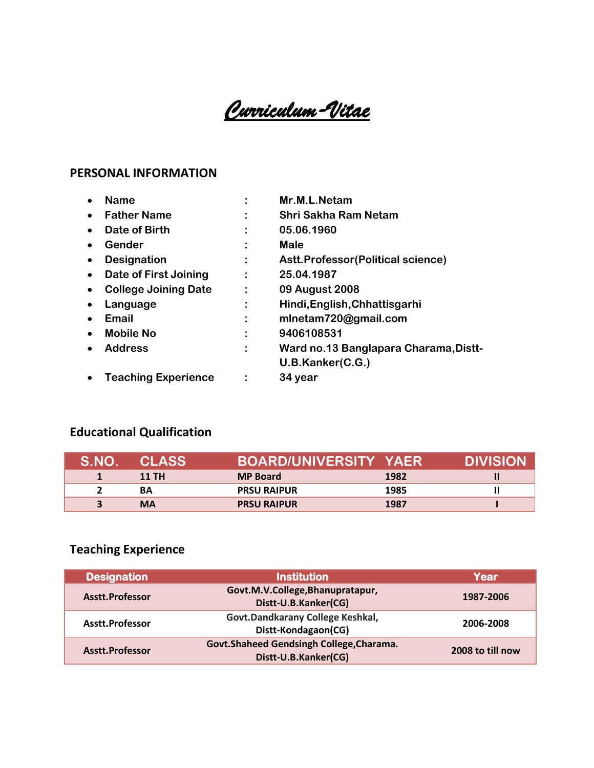*Curriculum-Vitae* 

#### **PERSONAL INFORMATION**

|           | <b>Name</b>                 |   | Mr.M.L.Netam                          |
|-----------|-----------------------------|---|---------------------------------------|
|           | <b>Father Name</b>          | ٠ | <b>Shri Sakha Ram Netam</b>           |
| $\bullet$ | Date of Birth               |   | 05.06.1960                            |
| $\bullet$ | Gender                      |   | <b>Male</b>                           |
| $\bullet$ | <b>Designation</b>          |   | Astt.Professor(Political science)     |
| $\bullet$ | Date of First Joining       |   | 25.04.1987                            |
| $\bullet$ | <b>College Joining Date</b> |   | 09 August 2008                        |
| $\bullet$ | Language                    |   | Hindi, English, Chhattisgarhi         |
| $\bullet$ | Email                       |   | mlnetam720@gmail.com                  |
| $\bullet$ | <b>Mobile No</b>            |   | 9406108531                            |
| $\bullet$ | <b>Address</b>              |   | Ward no.13 Banglapara Charama, Distt- |
|           |                             |   | U.B.Kanker(C.G.)                      |
| $\bullet$ | <b>Teaching Experience</b>  |   | 34 year                               |

### **Educational Qualification**

| S NO | <b>CLASS</b> | <b>BOARD/UNIVERSITY YAER</b> |      | DIVISION |
|------|--------------|------------------------------|------|----------|
|      | <b>11 TH</b> | <b>MP Board</b>              | 1982 |          |
|      | ΒA           | <b>PRSU RAIPUR</b>           | 1985 |          |
|      | <b>MA</b>    | <b>PRSU RAIPUR</b>           | 1987 |          |

## **Teaching Experience**

| <b>Designation</b> | <b>Institution</b>                                               | Year             |
|--------------------|------------------------------------------------------------------|------------------|
| Asstt.Professor    | Govt.M.V.College,Bhanupratapur,<br>Distt-U.B.Kanker(CG)          | 1987-2006        |
| Asstt.Professor    | Govt.Dandkarany College Keshkal,<br>Distt-Kondagaon(CG)          | 2006-2008        |
| Asstt.Professor    | Govt.Shaheed Gendsingh College, Charama.<br>Distt-U.B.Kanker(CG) | 2008 to till now |